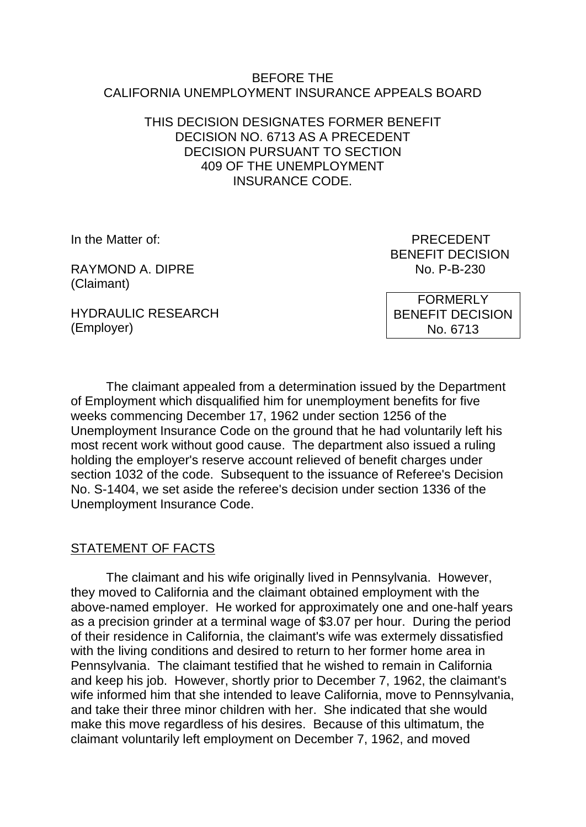#### BEFORE THE CALIFORNIA UNEMPLOYMENT INSURANCE APPEALS BOARD

### THIS DECISION DESIGNATES FORMER BENEFIT DECISION NO. 6713 AS A PRECEDENT DECISION PURSUANT TO SECTION 409 OF THE UNEMPLOYMENT INSURANCE CODE.

RAYMOND A. DIPRE No. P-B-230 (Claimant)

HYDRAULIC RESEARCH (Employer)

In the Matter of: PRECEDENT BENEFIT DECISION

> FORMERLY BENEFIT DECISION No. 6713

The claimant appealed from a determination issued by the Department of Employment which disqualified him for unemployment benefits for five weeks commencing December 17, 1962 under section 1256 of the Unemployment Insurance Code on the ground that he had voluntarily left his most recent work without good cause. The department also issued a ruling holding the employer's reserve account relieved of benefit charges under section 1032 of the code. Subsequent to the issuance of Referee's Decision No. S-1404, we set aside the referee's decision under section 1336 of the Unemployment Insurance Code.

## STATEMENT OF FACTS

The claimant and his wife originally lived in Pennsylvania. However, they moved to California and the claimant obtained employment with the above-named employer. He worked for approximately one and one-half years as a precision grinder at a terminal wage of \$3.07 per hour. During the period of their residence in California, the claimant's wife was extermely dissatisfied with the living conditions and desired to return to her former home area in Pennsylvania. The claimant testified that he wished to remain in California and keep his job. However, shortly prior to December 7, 1962, the claimant's wife informed him that she intended to leave California, move to Pennsylvania, and take their three minor children with her. She indicated that she would make this move regardless of his desires. Because of this ultimatum, the claimant voluntarily left employment on December 7, 1962, and moved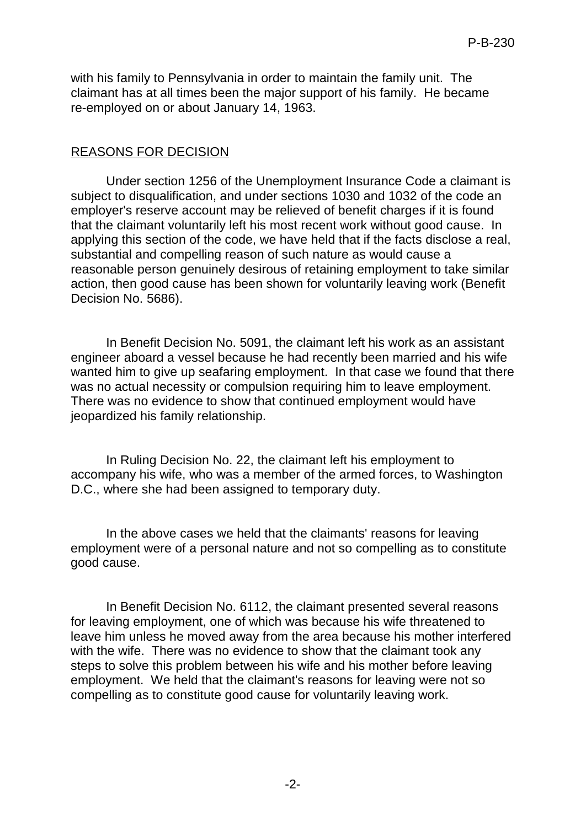with his family to Pennsylvania in order to maintain the family unit. The claimant has at all times been the major support of his family. He became re-employed on or about January 14, 1963.

#### REASONS FOR DECISION

Under section 1256 of the Unemployment Insurance Code a claimant is subject to disqualification, and under sections 1030 and 1032 of the code an employer's reserve account may be relieved of benefit charges if it is found that the claimant voluntarily left his most recent work without good cause. In applying this section of the code, we have held that if the facts disclose a real, substantial and compelling reason of such nature as would cause a reasonable person genuinely desirous of retaining employment to take similar action, then good cause has been shown for voluntarily leaving work (Benefit Decision No. 5686).

In Benefit Decision No. 5091, the claimant left his work as an assistant engineer aboard a vessel because he had recently been married and his wife wanted him to give up seafaring employment. In that case we found that there was no actual necessity or compulsion requiring him to leave employment. There was no evidence to show that continued employment would have jeopardized his family relationship.

In Ruling Decision No. 22, the claimant left his employment to accompany his wife, who was a member of the armed forces, to Washington D.C., where she had been assigned to temporary duty.

In the above cases we held that the claimants' reasons for leaving employment were of a personal nature and not so compelling as to constitute good cause.

In Benefit Decision No. 6112, the claimant presented several reasons for leaving employment, one of which was because his wife threatened to leave him unless he moved away from the area because his mother interfered with the wife. There was no evidence to show that the claimant took any steps to solve this problem between his wife and his mother before leaving employment. We held that the claimant's reasons for leaving were not so compelling as to constitute good cause for voluntarily leaving work.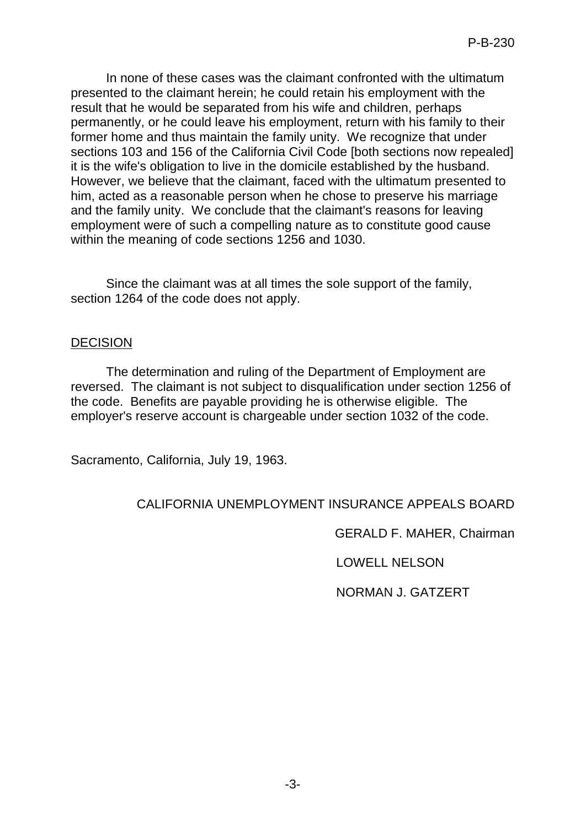In none of these cases was the claimant confronted with the ultimatum presented to the claimant herein; he could retain his employment with the result that he would be separated from his wife and children, perhaps permanently, or he could leave his employment, return with his family to their former home and thus maintain the family unity. We recognize that under sections 103 and 156 of the California Civil Code [both sections now repealed] it is the wife's obligation to live in the domicile established by the husband. However, we believe that the claimant, faced with the ultimatum presented to him, acted as a reasonable person when he chose to preserve his marriage and the family unity. We conclude that the claimant's reasons for leaving employment were of such a compelling nature as to constitute good cause within the meaning of code sections 1256 and 1030.

Since the claimant was at all times the sole support of the family, section 1264 of the code does not apply.

## DECISION

The determination and ruling of the Department of Employment are reversed. The claimant is not subject to disqualification under section 1256 of the code. Benefits are payable providing he is otherwise eligible. The employer's reserve account is chargeable under section 1032 of the code.

Sacramento, California, July 19, 1963.

# CALIFORNIA UNEMPLOYMENT INSURANCE APPEALS BOARD

GERALD F. MAHER, Chairman

LOWELL NELSON

NORMAN J. GATZERT